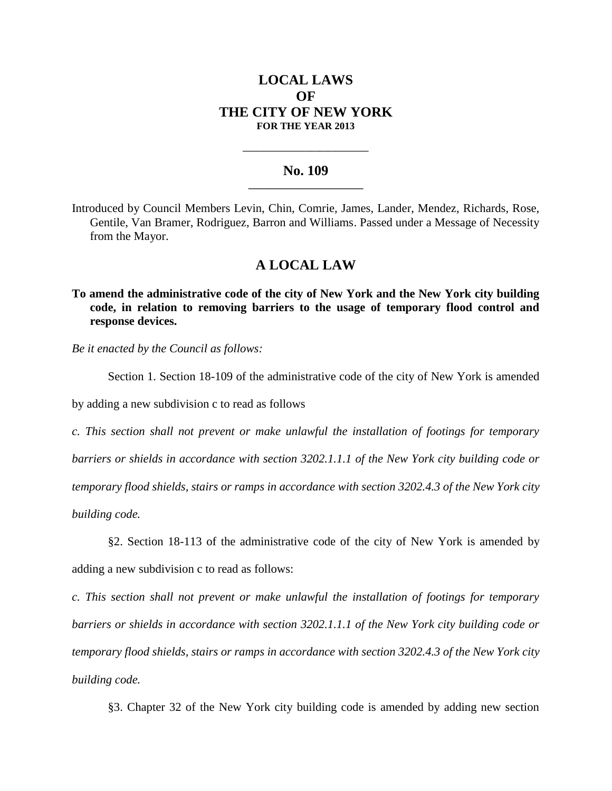## **LOCAL LAWS OF THE CITY OF NEW YORK FOR THE YEAR 2013**

## **No. 109 \_\_\_\_\_\_\_\_\_\_\_\_\_\_\_\_\_\_\_\_\_\_\_**

**\_\_\_\_\_\_\_\_\_\_\_\_\_\_\_\_\_\_\_\_\_\_\_\_\_\_\_\_**

Introduced by Council Members Levin, Chin, Comrie, James, Lander, Mendez, Richards, Rose, Gentile, Van Bramer, Rodriguez, Barron and Williams. Passed under a Message of Necessity from the Mayor.

## **A LOCAL LAW**

**To amend the administrative code of the city of New York and the New York city building code, in relation to removing barriers to the usage of temporary flood control and response devices.**

*Be it enacted by the Council as follows:*

Section 1. Section 18-109 of the administrative code of the city of New York is amended

by adding a new subdivision c to read as follows

*c. This section shall not prevent or make unlawful the installation of footings for temporary barriers or shields in accordance with section 3202.1.1.1 of the New York city building code or temporary flood shields, stairs or ramps in accordance with section 3202.4.3 of the New York city building code.*

§2. Section 18-113 of the administrative code of the city of New York is amended by adding a new subdivision c to read as follows:

*c. This section shall not prevent or make unlawful the installation of footings for temporary barriers or shields in accordance with section 3202.1.1.1 of the New York city building code or temporary flood shields, stairs or ramps in accordance with section 3202.4.3 of the New York city building code.*

§3. Chapter 32 of the New York city building code is amended by adding new section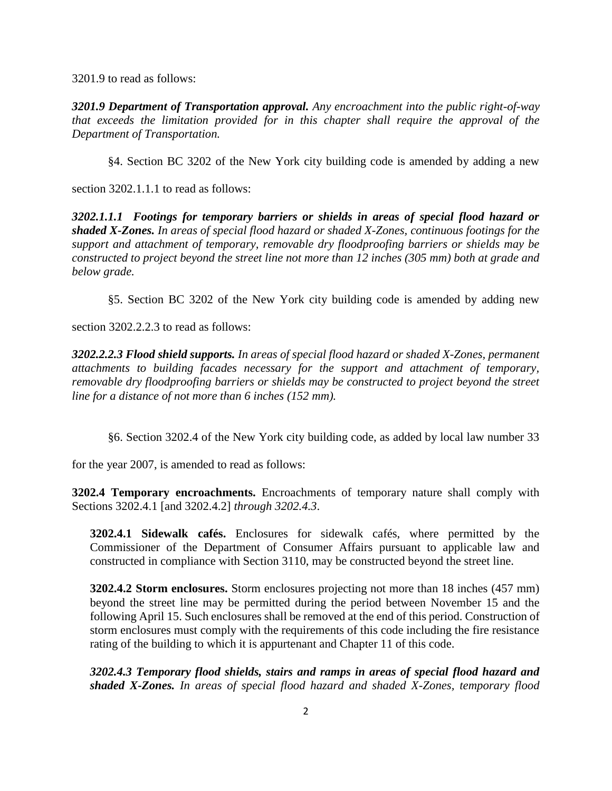3201.9 to read as follows:

*3201.9 Department of Transportation approval. Any encroachment into the public right-of-way that exceeds the limitation provided for in this chapter shall require the approval of the Department of Transportation.*

§4. Section BC 3202 of the New York city building code is amended by adding a new

section 3202.1.1.1 to read as follows:

*3202.1.1.1 Footings for temporary barriers or shields in areas of special flood hazard or shaded X-Zones. In areas of special flood hazard or shaded X-Zones, continuous footings for the support and attachment of temporary, removable dry floodproofing barriers or shields may be constructed to project beyond the street line not more than 12 inches (305 mm) both at grade and below grade.* 

§5. Section BC 3202 of the New York city building code is amended by adding new

section 3202.2.2.3 to read as follows:

*3202.2.2.3 Flood shield supports. In areas of special flood hazard or shaded X-Zones, permanent attachments to building facades necessary for the support and attachment of temporary, removable dry floodproofing barriers or shields may be constructed to project beyond the street line for a distance of not more than 6 inches (152 mm).*

§6. Section 3202.4 of the New York city building code, as added by local law number 33

for the year 2007, is amended to read as follows:

**3202.4 Temporary encroachments.** Encroachments of temporary nature shall comply with Sections 3202.4.1 [and 3202.4.2] *through 3202.4.3*.

**3202.4.1 Sidewalk cafés.** Enclosures for sidewalk cafés, where permitted by the Commissioner of the Department of Consumer Affairs pursuant to applicable law and constructed in compliance with Section 3110, may be constructed beyond the street line.

**3202.4.2 Storm enclosures.** Storm enclosures projecting not more than 18 inches (457 mm) beyond the street line may be permitted during the period between November 15 and the following April 15. Such enclosures shall be removed at the end of this period. Construction of storm enclosures must comply with the requirements of this code including the fire resistance rating of the building to which it is appurtenant and Chapter 11 of this code.

*3202.4.3 Temporary flood shields, stairs and ramps in areas of special flood hazard and shaded X-Zones. In areas of special flood hazard and shaded X-Zones, temporary flood*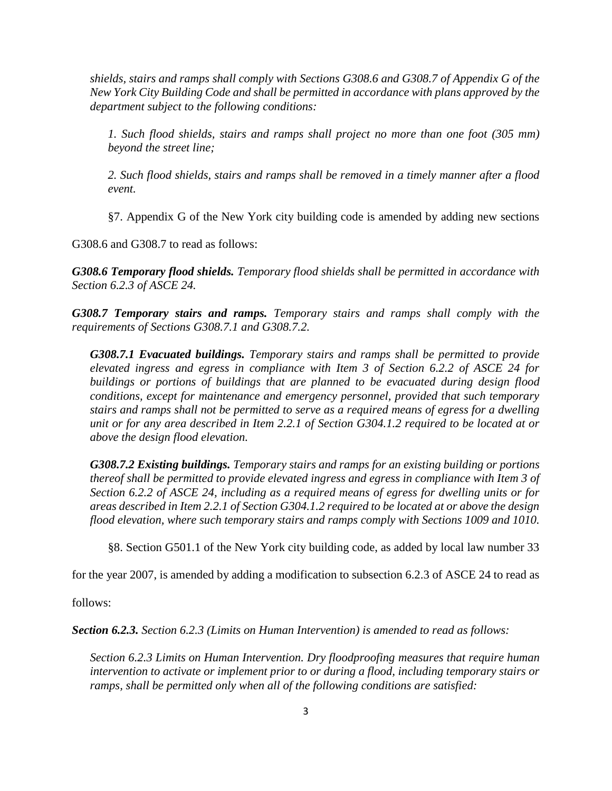*shields, stairs and ramps shall comply with Sections G308.6 and G308.7 of Appendix G of the New York City Building Code and shall be permitted in accordance with plans approved by the department subject to the following conditions:*

*1. Such flood shields, stairs and ramps shall project no more than one foot (305 mm) beyond the street line;*

*2. Such flood shields, stairs and ramps shall be removed in a timely manner after a flood event.*

§7. Appendix G of the New York city building code is amended by adding new sections

G308.6 and G308.7 to read as follows:

*G308.6 Temporary flood shields. Temporary flood shields shall be permitted in accordance with Section 6.2.3 of ASCE 24.* 

*G308.7 Temporary stairs and ramps. Temporary stairs and ramps shall comply with the requirements of Sections G308.7.1 and G308.7.2.*

*G308.7.1 Evacuated buildings. Temporary stairs and ramps shall be permitted to provide elevated ingress and egress in compliance with Item 3 of Section 6.2.2 of ASCE 24 for buildings or portions of buildings that are planned to be evacuated during design flood conditions, except for maintenance and emergency personnel, provided that such temporary stairs and ramps shall not be permitted to serve as a required means of egress for a dwelling unit or for any area described in Item 2.2.1 of Section G304.1.2 required to be located at or above the design flood elevation.* 

*G308.7.2 Existing buildings. Temporary stairs and ramps for an existing building or portions thereof shall be permitted to provide elevated ingress and egress in compliance with Item 3 of Section 6.2.2 of ASCE 24, including as a required means of egress for dwelling units or for areas described in Item 2.2.1 of Section G304.1.2 required to be located at or above the design flood elevation, where such temporary stairs and ramps comply with Sections 1009 and 1010.*

§8. Section G501.1 of the New York city building code, as added by local law number 33

for the year 2007, is amended by adding a modification to subsection 6.2.3 of ASCE 24 to read as

follows:

*Section 6.2.3. Section 6.2.3 (Limits on Human Intervention) is amended to read as follows:* 

*Section 6.2.3 Limits on Human Intervention. Dry floodproofing measures that require human intervention to activate or implement prior to or during a flood, including temporary stairs or ramps, shall be permitted only when all of the following conditions are satisfied:*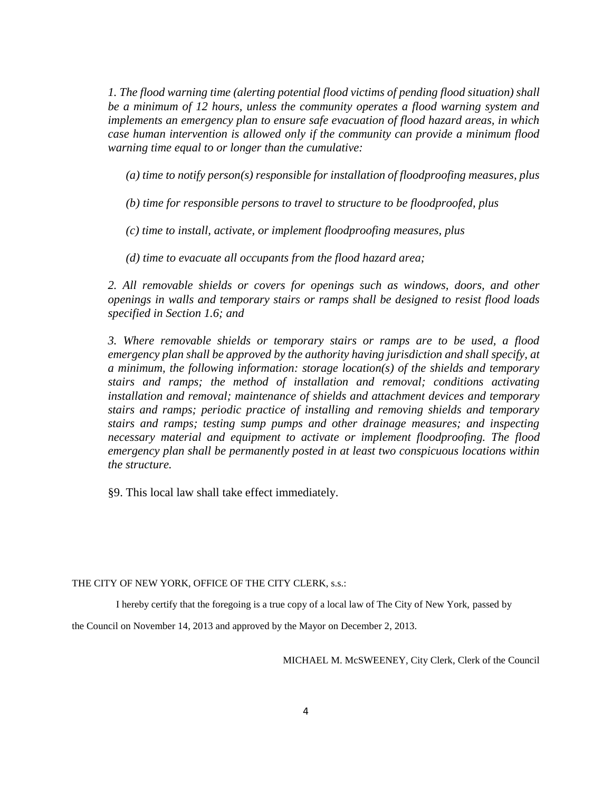*1. The flood warning time (alerting potential flood victims of pending flood situation) shall be a minimum of 12 hours, unless the community operates a flood warning system and implements an emergency plan to ensure safe evacuation of flood hazard areas, in which case human intervention is allowed only if the community can provide a minimum flood warning time equal to or longer than the cumulative:*

*(a) time to notify person(s) responsible for installation of floodproofing measures, plus*

*(b) time for responsible persons to travel to structure to be floodproofed, plus*

*(c) time to install, activate, or implement floodproofing measures, plus*

*(d) time to evacuate all occupants from the flood hazard area;*

2. All removable shields or covers for openings such as windows, doors, and other *openings in walls and temporary stairs or ramps shall be designed to resist flood loads specified in Section 1.6; and*

*3. Where removable shields or temporary stairs or ramps are to be used, a flood emergency plan shall be approved by the authority having jurisdiction and shall specify, at a minimum, the following information: storage location(s) of the shields and temporary stairs and ramps; the method of installation and removal; conditions activating installation and removal; maintenance of shields and attachment devices and temporary stairs and ramps; periodic practice of installing and removing shields and temporary stairs and ramps; testing sump pumps and other drainage measures; and inspecting necessary material and equipment to activate or implement floodproofing. The flood emergency plan shall be permanently posted in at least two conspicuous locations within the structure.*

§9. This local law shall take effect immediately.

THE CITY OF NEW YORK, OFFICE OF THE CITY CLERK, s.s.:

I hereby certify that the foregoing is a true copy of a local law of The City of New York, passed by

the Council on November 14, 2013 and approved by the Mayor on December 2, 2013.

MICHAEL M. McSWEENEY, City Clerk, Clerk of the Council